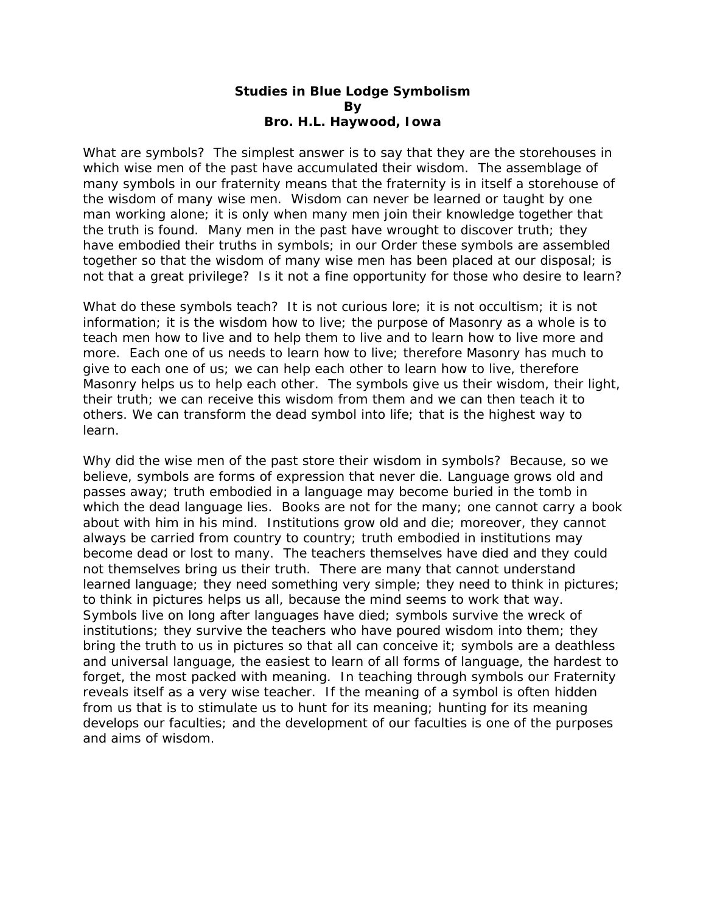## **Studies in Blue Lodge Symbolism By Bro. H.L. Haywood, Iowa**

What are symbols? The simplest answer is to say that they are the storehouses in which wise men of the past have accumulated their wisdom. The assemblage of many symbols in our fraternity means that the fraternity is in itself a storehouse of the wisdom of many wise men. Wisdom can never be learned or taught by one man working alone; it is only when many men join their knowledge together that the truth is found. Many men in the past have wrought to discover truth; they have embodied their truths in symbols; in our Order these symbols are assembled together so that the wisdom of many wise men has been placed at our disposal; is not that a great privilege? Is it not a fine opportunity for those who desire to learn?

What do these symbols teach? It is not curious lore; it is not occultism; it is not information; it is the wisdom how to live; the purpose of Masonry as a whole is to teach men how to live and to help them to live and to learn how to live more and more. Each one of us needs to learn how to live; therefore Masonry has much to give to each one of us; we can help each other to learn how to live, therefore Masonry helps us to help each other. The symbols give us their wisdom, their light, their truth; we can receive this wisdom from them and we can then teach it to others. We can transform the dead symbol into life; that is the highest way to learn.

Why did the wise men of the past store their wisdom in symbols? Because, so we believe, symbols are forms of expression that never die. Language grows old and passes away; truth embodied in a language may become buried in the tomb in which the dead language lies. Books are not for the many; one cannot carry a book about with him in his mind. Institutions grow old and die; moreover, they cannot always be carried from country to country; truth embodied in institutions may become dead or lost to many. The teachers themselves have died and they could not themselves bring us their truth. There are many that cannot understand learned language; they need something very simple; they need to think in pictures; to think in pictures helps us all, because the mind seems to work that way. Symbols live on long after languages have died; symbols survive the wreck of institutions; they survive the teachers who have poured wisdom into them; they bring the truth to us in pictures so that all can conceive it; symbols are a deathless and universal language, the easiest to learn of all forms of language, the hardest to forget, the most packed with meaning. In teaching through symbols our Fraternity reveals itself as a very wise teacher. If the meaning of a symbol is often hidden from us that is to stimulate us to hunt for its meaning; hunting for its meaning develops our faculties; and the development of our faculties is one of the purposes and aims of wisdom.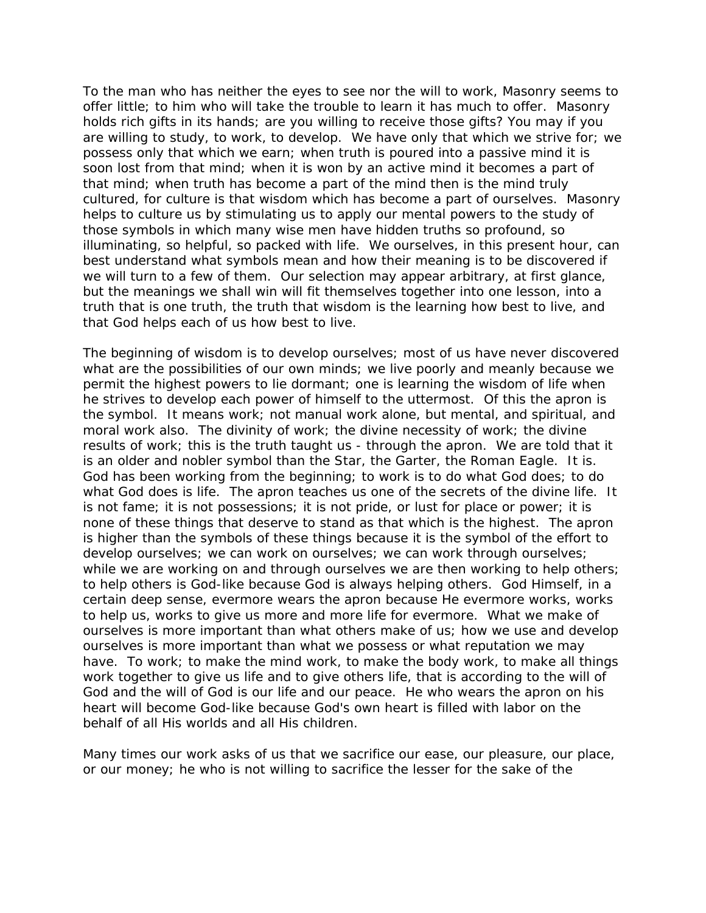To the man who has neither the eyes to see nor the will to work, Masonry seems to offer little; to him who will take the trouble to learn it has much to offer. Masonry holds rich gifts in its hands; are you willing to receive those gifts? You may if you are willing to study, to work, to develop. We have only that which we strive for; we possess only that which we earn; when truth is poured into a passive mind it is soon lost from that mind; when it is won by an active mind it becomes a part of that mind; when truth has become a part of the mind then is the mind truly cultured, for culture is that wisdom which has become a part of ourselves. Masonry helps to culture us by stimulating us to apply our mental powers to the study of those symbols in which many wise men have hidden truths so profound, so illuminating, so helpful, so packed with life. We ourselves, in this present hour, can best understand what symbols mean and how their meaning is to be discovered if we will turn to a few of them. Our selection may appear arbitrary, at first glance, but the meanings we shall win will fit themselves together into one lesson, into a truth that is one truth, the truth that wisdom is the learning how best to live, and that God helps each of us how best to live.

The beginning of wisdom is to develop ourselves; most of us have never discovered what are the possibilities of our own minds; we live poorly and meanly because we permit the highest powers to lie dormant; one is learning the wisdom of life when he strives to develop each power of himself to the uttermost. Of this the apron is the symbol. It means work; not manual work alone, but mental, and spiritual, and moral work also. The divinity of work; the divine necessity of work; the divine results of work; this is the truth taught us - through the apron. We are told that it is an older and nobler symbol than the Star, the Garter, the Roman Eagle. It is. God has been working from the beginning; to work is to do what God does; to do what God does is life. The apron teaches us one of the secrets of the divine life. It is not fame; it is not possessions; it is not pride, or lust for place or power; it is none of these things that deserve to stand as that which is the highest. The apron is higher than the symbols of these things because it is the symbol of the effort to develop ourselves; we can work on ourselves; we can work through ourselves; while we are working on and through ourselves we are then working to help others; to help others is God-like because God is always helping others. God Himself, in a certain deep sense, evermore wears the apron because He evermore works, works to help us, works to give us more and more life for evermore. What we make of ourselves is more important than what others make of us; how we use and develop ourselves is more important than what we possess or what reputation we may have. To work; to make the mind work, to make the body work, to make all things work together to give us life and to give others life, that is according to the will of God and the will of God is our life and our peace. He who wears the apron on his heart will become God-like because God's own heart is filled with labor on the behalf of all His worlds and all His children.

Many times our work asks of us that we sacrifice our ease, our pleasure, our place, or our money; he who is not willing to sacrifice the lesser for the sake of the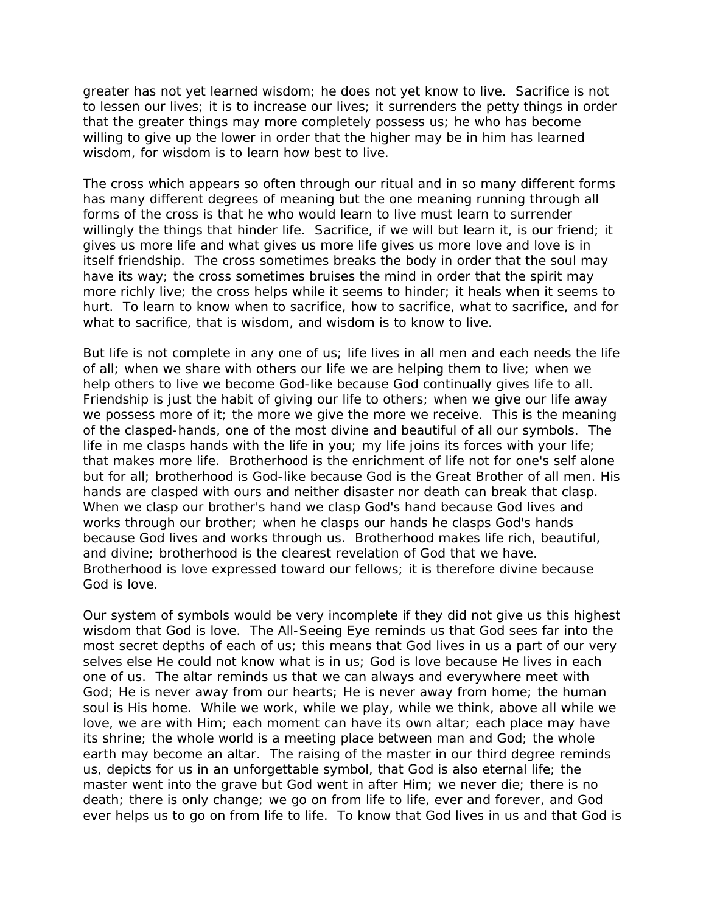greater has not yet learned wisdom; he does not yet know to live. Sacrifice is not to lessen our lives; it is to increase our lives; it surrenders the petty things in order that the greater things may more completely possess us; he who has become willing to give up the lower in order that the higher may be in him has learned wisdom, for wisdom is to learn how best to live.

The cross which appears so often through our ritual and in so many different forms has many different degrees of meaning but the one meaning running through all forms of the cross is that he who would learn to live must learn to surrender willingly the things that hinder life. Sacrifice, if we will but learn it, is our friend; it gives us more life and what gives us more life gives us more love and love is in itself friendship. The cross sometimes breaks the body in order that the soul may have its way; the cross sometimes bruises the mind in order that the spirit may more richly live; the cross helps while it seems to hinder; it heals when it seems to hurt. To learn to know when to sacrifice, how to sacrifice, what to sacrifice, and for what to sacrifice, that is wisdom, and wisdom is to know to live.

But life is not complete in any one of us; life lives in all men and each needs the life of all; when we share with others our life we are helping them to live; when we help others to live we become God-like because God continually gives life to all. Friendship is just the habit of giving our life to others; when we give our life away we possess more of it; the more we give the more we receive. This is the meaning of the clasped-hands, one of the most divine and beautiful of all our symbols. The life in me clasps hands with the life in you; my life joins its forces with your life; that makes more life. Brotherhood is the enrichment of life not for one's self alone but for all; brotherhood is God-like because God is the Great Brother of all men. His hands are clasped with ours and neither disaster nor death can break that clasp. When we clasp our brother's hand we clasp God's hand because God lives and works through our brother; when he clasps our hands he clasps God's hands because God lives and works through us. Brotherhood makes life rich, beautiful, and divine; brotherhood is the clearest revelation of God that we have. Brotherhood is love expressed toward our fellows; it is therefore divine because God is love.

Our system of symbols would be very incomplete if they did not give us this highest wisdom that God is love. The All-Seeing Eye reminds us that God sees far into the most secret depths of each of us; this means that God lives in us a part of our very selves else He could not know what is in us; God is love because He lives in each one of us. The altar reminds us that we can always and everywhere meet with God; He is never away from our hearts; He is never away from home; the human soul is His home. While we work, while we play, while we think, above all while we love, we are with Him; each moment can have its own altar; each place may have its shrine; the whole world is a meeting place between man and God; the whole earth may become an altar. The raising of the master in our third degree reminds us, depicts for us in an unforgettable symbol, that God is also eternal life; the master went into the grave but God went in after Him; we never die; there is no death; there is only change; we go on from life to life, ever and forever, and God ever helps us to go on from life to life. To know that God lives in us and that God is